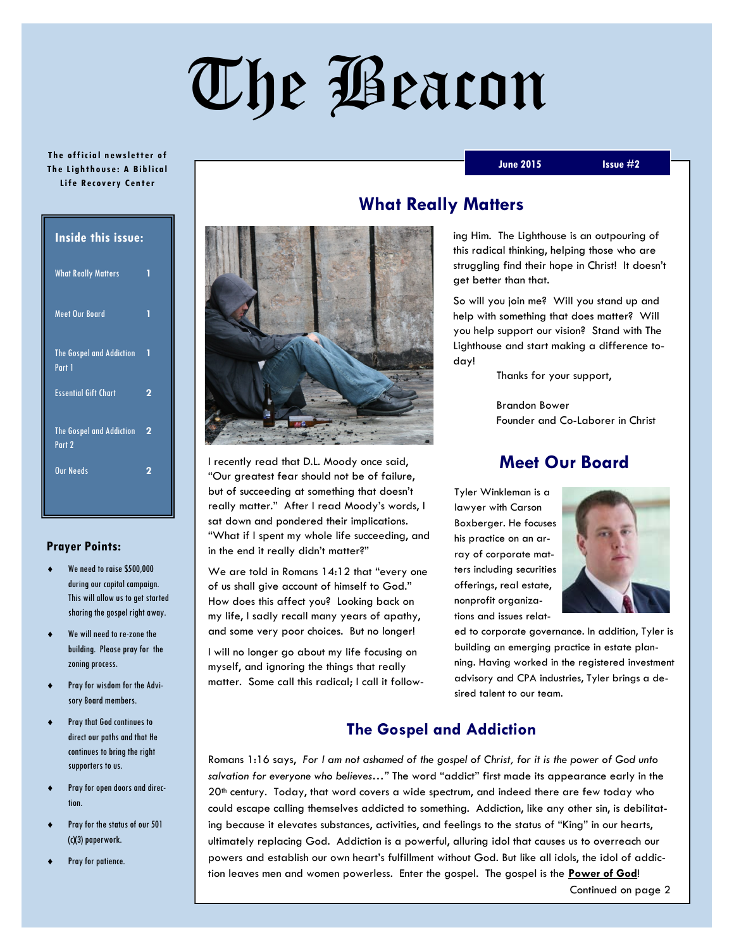# The Beacon

#### **The official newsletter of Th e Lighth ous e: A Bib lica l Lif e R ec overy Cent er**

| <b>Inside this issue:</b> |  |  |
|---------------------------|--|--|
| 1                         |  |  |
| 1                         |  |  |
| п                         |  |  |
| 2                         |  |  |
| 2                         |  |  |
| 2                         |  |  |
|                           |  |  |

#### **Prayer Points:**

- We need to raise \$500,000 during our capital campaign. This will allow us to get started sharing the gospel right away.
- We will need to re-zone the building. Please pray for the zoning process.
- Pray for wisdom for the Advisory Board members.
- Pray that God continues to direct our paths and that He continues to bring the right supporters to us.
- Pray for open doors and direction.
- Pray for the status of our 501 (c)(3) paperwork.
- Pray for patience.

I recently read that D.L. Moody once said, "Our greatest fear should not be of failure, but of succeeding at something that doesn't really matter." After I read Moody's words, I sat down and pondered their implications. "What if I spent my whole life succeeding, and in the end it really didn't matter?"

We are told in Romans 14:12 that "every one of us shall give account of himself to God." How does this affect you? Looking back on my life, I sadly recall many years of apathy, and some very poor choices. But no longer!

I will no longer go about my life focusing on myself, and ignoring the things that really matter. Some call this radical; I call it follow-

# **What Really Matters**

ing Him. The Lighthouse is an outpouring of this radical thinking, helping those who are struggling find their hope in Christ! It doesn't get better than that.

**June 2015 Issue #2**

So will you join me? Will you stand up and help with something that does matter? Will you help support our vision? Stand with The Lighthouse and start making a difference today!

Thanks for your support,

Brandon Bower Founder and Co-Laborer in Christ

## **Meet Our Board**

Tyler Winkleman is a lawyer with Carson Boxberger. He focuses his practice on an array of corporate matters including securities offerings, real estate, nonprofit organizations and issues relat-



ed to corporate governance. In addition, Tyler is building an emerging practice in estate planning. Having worked in the registered investment advisory and CPA industries, Tyler brings a desired talent to our team.

### **The Gospel and Addiction**

Romans 1:16 says, *For I am not ashamed of the gospel of Christ, for it is the power of God unto salvation for everyone who believes…"* The word "addict" first made its appearance early in the 20<sup>th</sup> century. Today, that word covers a wide spectrum, and indeed there are few today who could escape calling themselves addicted to something. Addiction, like any other sin, is debilitating because it elevates substances, activities, and feelings to the status of "King" in our hearts, ultimately replacing God. Addiction is a powerful, alluring idol that causes us to overreach our powers and establish our own heart's fulfillment without God. But like all idols, the idol of addiction leaves men and women powerless. Enter the gospel. The gospel is the **Power of God**!

Continued on page 2